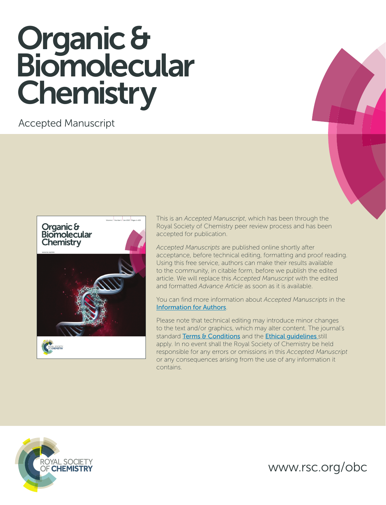# Organic & Biomolecular **Chemistry**

Accepted Manuscript



This is an *Accepted Manuscript*, which has been through the Royal Society of Chemistry peer review process and has been accepted for publication.

*Accepted Manuscripts* are published online shortly after acceptance, before technical editing, formatting and proof reading. Using this free service, authors can make their results available to the community, in citable form, before we publish the edited article. We will replace this *Accepted Manuscript* with the edited and formatted *Advance Article* as soon as it is available.

You can find more information about *Accepted Manuscripts* in the [Information for Authors](http://www.rsc.org/Publishing/Journals/guidelines/AuthorGuidelines/JournalPolicy/accepted_manuscripts.asp).

Please note that technical editing may introduce minor changes to the text and/or graphics, which may alter content. The journal's standard [Terms & Conditions](http://www.rsc.org/help/termsconditions.asp) and the Ethical quidelines still apply. In no event shall the Royal Society of Chemistry be held responsible for any errors or omissions in this *Accepted Manuscript* or any consequences arising from the use of any information it contains.



www.rsc.org/obc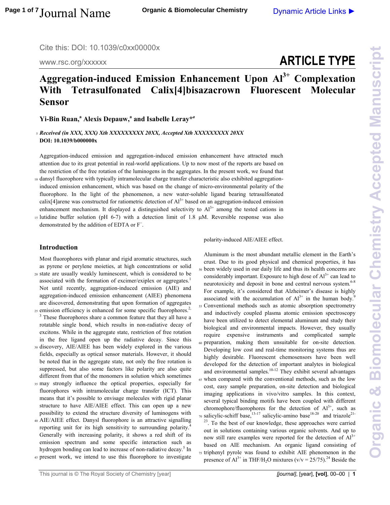Cite this: DOI: 10.1039/c0xx00000x

www.rsc.org/xxxxxx

## **ARTICLE TYPE**

### **Aggregation-induced Emission Enhancement Upon Al3+ Complexation With Tetrasulfonated Calix[4]bisazacrown Fluorescent Molecular Sensor**

**Yi-Bin Ruan,<sup>a</sup> Alexis Depauw,<sup>a</sup> and Isabelle Leray\****<sup>a</sup>*

#### <sup>5</sup>*Received (in XXX, XXX) Xth XXXXXXXXX 20XX, Accepted Xth XXXXXXXXX 20XX*  **DOI: 10.1039/b000000x**

Aggregation-induced emission and aggregation-induced emission enhancement have attracted much attention due to its great potential in real-world applications. Up to now most of the reports are based on the restriction of the free rotation of the luminogens in the aggregates. In the present work, we found that

10 dansyl fluorophore with typically intramolecular charge transfer characteristic also exhibited aggregationinduced emission enhancement, which was based on the change of micro-environmental polarity of the fluorophore. In the light of the phenomenon, a new water-soluble ligand bearing tetrasulfonated calix[4]arene was constructed for ratiometric detection of  $Al^{3+}$  based on an aggregation-induced emission enhancement mechanism. It displayed a distinguished selectivity to  $Al^{3+}$  among the tested cations in

 $15$  lutidine buffer solution (pH 6-7) with a detection limit of 1.8  $\mu$ M. Reversible response was also demonstrated by the addition of EDTA or F<sup>−</sup> .

#### **Introduction**

Most fluorophores with planar and rigid aromatic structures, such as pyrene or perylene moieties, at high concentrations or solid <sup>20</sup>state are usually weakly luminescent, which is considered to be

associated with the formation of excimer/exiplex or aggregates.<sup>1</sup> Not until recently, aggregation-induced emission (AIE) and aggregation-induced emission enhancement (AIEE) phenomena are discovered, demonstrating that upon formation of aggregates  $25$  emission efficiency is enhanced for some specific fluorophores.<sup>2,</sup>

<sup>3</sup> These fluorophores share a common feature that they all have a rotatable single bond, which results in non-radiative decay of excitons. While in the aggregate state, restriction of free rotation in the free ligand open up the radiative decay. Since this

- <sup>30</sup>discovery, AIE/AIEE has been widely explored in the various fields, especially as optical sensor materials. However, it should be noted that in the aggregate state, not only the free rotation is suppressed, but also some factors like polarity are also quite different from that of the monomers in solution which sometimes
- <sup>35</sup>may strongly influence the optical properties, especially for fluorophores with intramolecular charge transfer (ICT). This means that it's possible to envisage molecules with rigid planar structure to have AIE/AIEE effect. This can open up a new possibility to extend the structure diversity of luminogens with
- <sup>40</sup>AIE/AIEE effect. Danysl fluorophore is an attractive signalling reporting unit for its high sensitivity to surrounding polarity.<sup>4</sup> Generally with increasing polarity, it shows a red shift of its emission spectrum and some specific interaction such as hydrogen bonding can lead to increase of non-radiative decay.<sup>5</sup> In
- <sup>45</sup>present work, we intend to use this fluorophore to investigate

polarity-induced AIE/AIEE effect.

Aluminum is the most abundant metallic element in the Earth's crust. Due to its good physical and chemical properties, it has <sup>50</sup>been widely used in our daily life and thus its health concerns are considerably important. Exposure to high dose of  $Al^{3+}$  can lead to neurotoxicity and deposit in bone and central nervous system.<sup>6-8</sup> For example, it's considered that Alzheimer's disease is highly associated with the accumulation of  $Al^{3+}$  in the human body.<sup>9</sup> <sup>55</sup>Conventional methods such as atomic absorption spectrometry and inductively coupled plasma atomic emission spectroscopy have been utilized to detect elemental aluminum and study their biological and environmental impacts. However, they usually require expensive instruments and complicated sample <sup>60</sup>preparation, making them unsuitable for on-site detection. Developing low cost and real-time monitoring systems thus are highly desirable. Fluorescent chemosensors have been well developed for the detection of important analytes in biological and environmental samples.<sup>10-12</sup> They exhibit several advantages <sup>65</sup>when compared with the conventional methods, such as the low cost, easy sample preparation, on-site detection and biological imaging applications in vivo/vitro samples. In this context, several typical binding motifs have been coupled with different chromophore/fluorophores for the detection of  $Al^{3+}$ , such as <sup>70</sup> salicylic-schiff base,<sup>13-17</sup> salicylic-amino base<sup>18-20</sup> and triazole<sup>21-1</sup> <sup>23</sup>. To the best of our knowledge, these approaches were carried out in solutions containing various organic solvents. And up to now still rare examples were reported for the detection of  $Al^{3+}$ based on AIE mechanism. An organic ligand consisting of 75 triphenyl pyrole was found to exhibit AIE phenomenon in the presence of  $Al^{3+}$  in THF/H<sub>2</sub>O mixtures (v/v = 25/75).<sup>24</sup> Beside the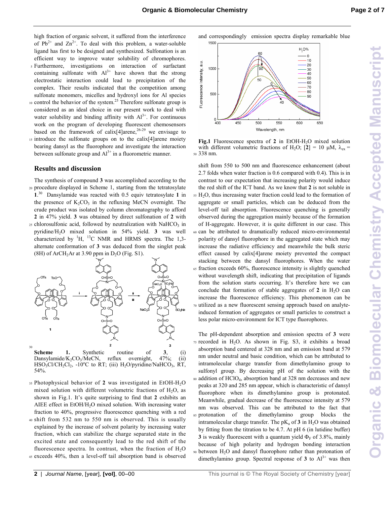high fraction of organic solvent, it suffered from the interference of  $Pb^{2+}$  and  $Zn^{2+}$ . To deal with this problem, a water-soluble ligand has first to be designed and synthesized. Sulfonation is an efficient way to improve water solubility of chromophores. <sup>5</sup>Furthermore, investigations on interaction of surfactant

- containing sulfonate with  $Al^{3+}$  have shown that the strong electrostatic interaction could lead to precipitation of the complex. Their results indicated that the competition among sulfonate monomers, micelles and hydroxyl ions for Al species
- $10$  control the behavior of the system.<sup>25</sup> Therefore sulfonate group is considered as an ideal choice in our present work to deal with water solubility and binding affinity with  $Al^{3+}$ . For continuous work on the program of developing fluorescent chemosensors based on the framework of calix[4]arene,<sup>26-29</sup> we envisage to 15 introduce the sulfonate groups on to the calix[4]arene moiety
- bearing dansyl as the fluorophore and investigate the interaction between sulfonate group and  $Al^{3+}$  in a fluorometric manner.

#### **Results and discussion**

The synthesis of compound **3** was accomplished according to the 20 procedure displayed in Scheme 1, starting from the tetratosylate **1**. <sup>30</sup> Dansylamide was reacted with 0.5 equiv tetratosylate **1** in the presence of  $K_2CO_3$  in the refluxing MeCN overnight. The crude product was isolated by column chromatography to afford **2** in 47% yield. **3** was obtained by direct sulfonation of **2** with  $25$  chlorosulfonic acid, followed by neutralization with NaHCO<sub>3</sub> in pyridine/H2O mixed solution in 54% yield. **3** was well characterized by  ${}^{1}$ H,  ${}^{13}$ C NMR and HRMS spectra. The 1,3alternate conformation of **3** was deduced from the singlet peak (8H) of ArCH<sub>2</sub>Ar at 3.90 ppm in  $D_2O$  (Fig. S1).



Dansylamide/ $K_2CO_3/MeCN$ , reflux overnight,  $47\%$ ; (ii)  $HSO_3Cl/CH_2Cl_2$ , -10<sup>o</sup>C to RT; (iii)  $H_2O/pyridine/NaHCO_3$ , RT, 54%.

- <sup>35</sup>Photophysical behavior of **2** was investigated in EtOH-H2O mixed solution with different volumetric fractions of  $H_2O$ , as shown in Fig.1. It's quite surprising to find that **2** exhibits an AIEE effect in EtOH/H<sub>2</sub>O mixed solution. With increasing water fraction to 40%, progressive fluorescence quenching with a red <sup>40</sup>shift from 532 nm to 550 nm is observed. This is usually
- explained by the increase of solvent polarity by increasing water fraction, which can stabilize the charge separated state in the excited state and consequently lead to the red shift of the fluorescence spectra. In contrast, when the fraction of  $H_2O$ 45 exceeds 40%, then a level-off tail absorption band is observed

and correspondingly emission spectra display remarkable blue



**Fig.1** Fluorescence spectra of 2 in EtOH-H<sub>2</sub>O mixed solution with different volumetric fractions of H<sub>2</sub>O; [2] = 10  $\mu$ M,  $\lambda_{ex}$  = <sup>50</sup>338 nm.

shift from 550 to 500 nm and fluorescence enhancement (about 2.7 folds when water fraction is 0.6 compared with 0.4). This is in contrast to our expectation that increasing polarity would induce the red shift of the ICT band. As we know that **2** is not soluble in <sup>55</sup>H2O, thus increasing water fraction could lead to the formation of aggregate or small particles, which can be deduced from the level-off tail absorption. Fluorescence quenching is generally observed during the aggregation mainly because of the formation of H-aggregate. However, it is quite different in our case. This <sup>60</sup>can be attributed to dramatically reduced micro-environmental polarity of dansyl fluorophore in the aggregated state which may increase the radiative efficiency and meanwhile the bulk steric effect caused by calix[4]arene moiety prevented the compact stacking between the dansyl fluorophores. When the water <sup>65</sup>fraction exceeds 60%, fluorescence intensity is slightly quenched without wavelength shift, indicating that precipitation of ligands from the solution starts occurring. It's therefore here we can conclude that formation of stable aggregates of  $2$  in  $H_2O$  can increase the fluorescence efficiency. This phenomenon can be 70 utilized as a new fluorescent sensing approach based on analyteinduced formation of aggregates or small particles to construct a less polar micro-environment for ICT type fluorophores.

The pH-dependent absorption and emission spectra of **3** were  $75$  recorded in H<sub>2</sub>O. As shown in Fig. S3, it exhibits a broad absorption band centered at 328 nm and an emission band at 579 nm under neutral and basic condition, which can be attributed to intramolecular charge transfer from dimethylamino group to sulfonyl group. By decreasing pH of the solution with the addition of HClO<sup>4</sup> <sup>80</sup>, absorption band at 328 nm decreases and new peaks at 320 and 285 nm appear, which is characteristic of dansyl fluorophore when its dimethylamino group is protonated. Meanwhile, gradual decrease of the fluorescence intensity at 579 nm was observed. This can be attributed to the fact that <sup>85</sup>protonation of the dimethylamino group blocks the intramolecular charge transfer. The  $pK_a$  of **3** in  $H_2O$  was obtained by fitting from the titration to be 4.7. At pH 6 (in lutidine buffer) **3** is weakly fluorescent with a quantum yield  $\Phi_F$  of 3.8%, mainly because of high polarity and hydrogen bonding interaction 90 between H<sub>2</sub>O and dansyl fluorophore rather than protonation of dimethylamino group. Spectral response of  $3$  to  $Al^{3+}$  was then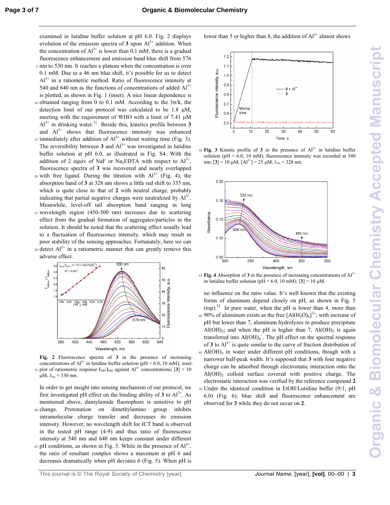examined in lutidine buffer solution at pH 6.0. Fig. 2 displays evolution of the emission spectra of  $3 \text{ upon } Al^{3+}$  addition. When the concentration of  $Al^{3+}$  is lower than 0.1 mM, there is a gradual fluorescence enhancement and emission band blue shift from 576 <sup>5</sup>nm to 530 nm. It reaches a plateau when the concentration is over

- 0.1 mM. Due to a 46 nm blue shift, it's possible for us to detect  $Al^{3+}$  in a ratiometric method. Ratio of fluorescence intensity at 540 and 640 nm as the functions of concentrations of added  $Al<sup>3+</sup>$ is plotted, as shown in Fig. 1 (inset). A nice linear dependence is
- 10 obtained ranging from 0 to 0.1 mM. According to the  $3\sigma/k$ , the detection limit of our protocol was calculated to be 1.8 µM, meeting with the requirement of WHO with a limit of 7.41 µM  $A<sup>3+</sup>$  in drinking water.<sup>31</sup> Beside this, kinetics profile between 3 and  $Al^{3+}$  shows that fluorescence intensity was enhanced
- $\mu$ <sub>15</sub> immediately after addition of Al<sup>3+</sup> without waiting time (Fig. 3). The reversibility between **3** and  $Al^{3+}$  was investigated in lutidine buffer solution at pH 6.0, as illustrated in Fig. S4. With the addition of 2 equiv of NaF or Na<sub>2</sub>EDTA with respect to  $Al^{3+}$ , fluorescence spectra of **3** was recovered and nearly overlapped
- 20 with free ligand. During the titration with  $Al^{3+}$  (Fig. 4), the absorption band of **3** at 328 nm shows a little red shift to 335 nm, which is quite close to that of **2** with neutral charge, probably indicating that partial negative charges were neutralized by  $Al^{3+}$ . Meanwhile, level-off tail absorption band ranging in long <sup>25</sup>wavelength region (450-500 nm) increases due to scattering effect from the gradual formation of aggregates/particles in the solution. It should be noted that the scattering effect usually lead
- to a fluctuation of fluorescence intensity, which may result in poor stability of the sensing approaches. Fortunately, here we can  $30$  detect  $Al^{3+}$  in a ratiometric manner that can greatly remove this
- adverse effect.



**Fig. 2** Fluorescence spectra of **3** in the presence of increasing concentrations of  $Al^{3+}$  in lutidine buffer solution (pH = 6.0, 10 mM); inset: 35 plot of ratiometric response  $I_{540}/I_{640}$  against  $Al^{3+}$  concentrations;  $[3] = 10$  $\mu$ M,  $\lambda_{ex}$  = 330 nm.

In order to get insight into sensing mechanism of our protocol, we first investigated pH effect on the binding ability of  $3$  to  $Al^{3+}$ . As mentioned above, dansylamide fluorophore is sensitive to pH <sup>40</sup>change. Protonation on dimethylamino group inhibits intramolecular charge transfer and decreases its emission intensity. However, no wavelength shift for ICT band is observed in the tested pH range (4-9) and thus ratio of fluorescence intensity at 540 nm and 640 nm keeps constant under different

45 pH conditions, as shown in Fig. 5. While in the presence of  $Al^{3+}$ , the ratio of resultant complex shows a maximum at pH 6 and decreases dramatically when pH deviates 6 (Fig. 5). When pH is



lower than 5 or higher than 8, the addition of  $Al^{3+}$  almost shows

 $50$  Fig. 3 Kinetic profile of 3 in the presence of  $Al<sup>3+</sup>$  in lutidine buffer solution ( $pH = 6.0$ , 10 mM), fluorescence intensity was recorded at 540 nm;  $[3] = 10 \mu M$ ,  $[A]^{3+}$ ] = 25  $\mu$ M,  $\lambda_{ex}$  = 328 nm.



 $55$  Fig. 4 Absorption of 3 in the presence of increasing concentrations of  $Al<sup>3+</sup>$ in lutidine buffer solution ( $pH = 6.0$ , 10 mM);  $[3] = 10 \mu M$ .

no influence on the ratio value. It's well known that the existing forms of aluminum depend closely on pH, as shown in Fig. 5  $(top).$ <sup>32</sup> In pure water, when the pH is lower than 4, more than 60 90% of aluminum exists as the free  $[AI(H_2O)_6]^{3+}$ ; with increase of pH but lower than 7, aluminum hydrolyzes to produce precipitate  $Al(OH)_3$ ; and when the pH is higher than 7,  $Al(OH)_3$  is again transferred into  $AI(OH)_4^-$ . The pH effect on the spectral response of **3** to  $Al^{3+}$  is quite similar to the curve of fraction distribution of  $65$  Al(OH)<sub>3</sub> in water under different pH conditions, though with a narrower half-peak width. It's supposed that **3** with four negative charge can be adsorbed through electrostatic interaction onto the Al(OH)<sub>3</sub> colloid surface covered with positive charge. The electrostatic interaction was verified by the reference compound **2**.

<sup>70</sup>Under the identical condition in EtOH/Lutidine buffer (9:1, pH 6.0) (Fig. 6), blue shift and fluorescence enhancement are observed for **3** while they do not occur on **2**.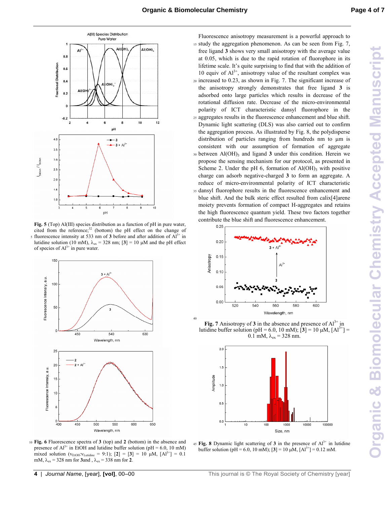40



**Fig. 5** (Top) Al(III) species distribution as a function of pH in pure water, cited from the reference; $32$  (bottom) the pH effect on the change of s fluorescence intensity at 533 nm of 3 before and after addition of  $Al<sup>3+</sup>$  in lutidine solution (10 mM),  $λ_{ex}$  = 328 nm; [3] = 10 μM and the pH effect of species of  $Al^{3+}$  in pure water.



<sup>10</sup>**Fig. 6** Fluorescence spectra of **3** (top) and **2** (bottom) in the absence and presence of  $Al^{3+}$  in EtOH and lutidine buffer solution (pH = 6.0, 10 mM) mixed solution ( $v_{EtoH}:v_{Lutidine} = 9:1$ ); [2] = [3] = 10  $\mu$ M, [Al<sup>3+</sup>] = 0.1 mM,  $\lambda_{\text{ex}} = 328$  nm for **3**and ,  $\lambda_{\text{ex}} = 338$  nm for **2**.

Fluorescence anisotropy measurement is a powerful approach to <sup>15</sup>study the aggregation phenomenon. As can be seen from Fig. 7, free ligand **3** shows very small anisotropy with the average value at 0.05, which is due to the rapid rotation of fluorophore in its lifetime scale. It's quite surprising to find that with the addition of 10 equiv of  $Al^{3+}$ , anisotropy value of the resultant complex was <sup>20</sup>increased to 0.23, as shown in Fig. 7. The significant increase of the anisotropy strongly demonstrates that free ligand **3** is adsorbed onto large particles which results in decrease of the rotational diffusion rate. Decrease of the micro-environmental polarity of ICT characteristic dansyl fluorophore in the <sup>25</sup>aggregates results in the fluorescence enhancement and blue shift. Dynamic light scattering (DLS) was also carried out to confirm the aggregation process. As illustrated by Fig. 8, the polydisperse distribution of particles ranging from hundreds nm to  $\mu$ m is consistent with our assumption of formation of aggregate <sup>30</sup> between Al(OH)<sub>3</sub> and ligand **3** under this condition. Herein we propose the sensing mechanism for our protocol, as presented in Scheme 2. Under the pH  $6$ , formation of  $Al(OH)$ <sub>3</sub> with positive charge can adsorb negative-charged **3** to form an aggregate. A reduce of micro-environmental polarity of ICT characteristic <sup>35</sup>dansyl fluorophore results in the fluorescence enhancement and blue shift. And the bulk steric effect resulted from calix[4]arene moiety prevents formation of compact H-aggregates and retains the high fluorescence quantum yield. These two factors together contribute the blue shift and fluorescence enhancement.



**Fig. 7** Anisotropy of **3** in the absence and presence of  $Al^{3+}$  in lutidine buffer solution (pH = 6.0, 10 mM);  $[3] = 10 \mu M$ ,  $[A]^{3+}$ ] = 0.1 mM,  $\lambda_{ex}$  = 328 nm.



45 Fig. 8 Dynamic light scattering of  $3$  in the presence of  $Al^{3+}$  in lutidine buffer solution (pH = 6.0, 10 mM);  $[3] = 10 \mu M$ ,  $[Al^{3+}] = 0.12 \text{ mM}$ .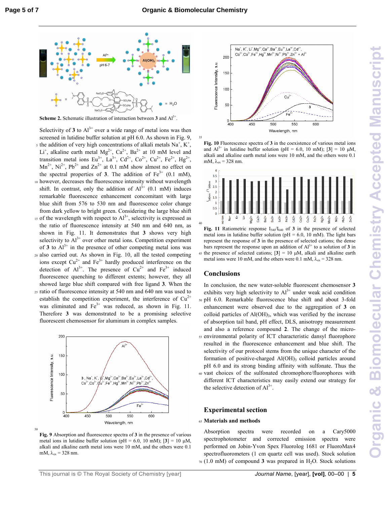.



**Scheme 2.** Schematic illustration of interaction between 3 and  $Al^{3+}$ 

Selectivity of  $3$  to  $Al^{3+}$  over a wide range of metal ions was then screened in lutidine buffer solution at pH 6.0. As shown in Fig. 9, s the addition of very high concentrations of alkali metals  $Na<sup>+</sup>, K<sup>+</sup>,$ Li<sup>+</sup>, alkaline earth metal Mg<sup>2+</sup>, Ca<sup>2+</sup>, Ba<sup>2+</sup> at 10 mM level and transition metal ions Eu<sup>3+</sup>, La<sup>3+</sup>, Cd<sup>2+</sup>, Co<sup>2+</sup>, Cu<sup>2+</sup>, Fe<sup>2+</sup>, Hg<sup>2+</sup>,  $Mn^{2+}$ ,  $Ni^{2+}$ ,  $Pb^{2+}$  and  $Zn^{2+}$  at 0.1 mM show almost no effect on the spectral properties of **3**. The addition of  $Fe^{3+}$  (0.1 mM), 10 however, decreases the fluorescence intensity without wavelength shift. In contrast, only the addition of  $Al^{3+}$  (0.1 mM) induces remarkable fluorescence enhancement concomitant with large blue shift from 576 to 530 nm and fluorescence color change

- from dark yellow to bright green. Considering the large blue shift  $\frac{15}{15}$  of the wavelength with respect to Al<sup>3+</sup>, selectivity is expressed as the ratio of fluorescence intensity at 540 nm and 640 nm, as shown in Fig. 11. It demonstrates that **3** shows very high selectivity to  $Al^{3+}$  over other metal ions. Competition experiment of  $3$  to  $Al^{3+}$  in the presence of other competing metal ions was <sup>20</sup>also carried out. As shown in Fig. 10, all the tested competing ions except  $Cu^{2+}$  and  $Fe^{3+}$  hardly produced interference on the
- detection of  $Al^{3+}$ . The presence of  $Cu^{2+}$  and  $Fe^{3+}$  induced fluorescence quenching to different extents; however, they all showed large blue shift compared with free ligand **3**. When the <sup>25</sup>ratio of fluorescence intensity at 540 nm and 640 nm was used to
- establish the competition experiment, the interference of  $Cu^{2+}$ was eliminated and  $Fe<sup>3+</sup>$  was reduced, as shown in Fig. 11. Therefore **3** was demonstrated to be a promising selective fluorescent chemosensor for aluminum in complex samples.



**Fig. 9** Absorption and fluorescence spectra of **3** in the presence of various metal ions in lutidine buffer solution (pH = 6.0, 10 mM);  $[3] = 10 \mu M$ , alkali and alkaline earth metal ions were 10 mM, and the others were 0.1 mM,  $\lambda_{ex}$  = 328 nm.

30



**Fig. 10** Fluorescence spectra of **3** in the coexistence of various metal ions and  $AI^{3+}$  in lutidine buffer solution (pH = 6.0, 10 mM); [3] = 10  $\mu$ M, alkali and alkaline earth metal ions were 10 mM, and the others were 0.1 mM,  $\lambda_{ex}$  = 328 nm.



Fig. 11 Ratiometric response  $I_{540}/I_{640}$  of 3 in the presence of selected metal ions in lutidine buffer solution ( $pH = 6.0$ , 10 mM). The light bars represent the response of **3** in the presence of selected cations; the dense bars represent the response upon an addition of  $Al^{3+}$  to a solution of 3 in 45 the presence of selected cations;  $[3] = 10 \mu M$ , alkali and alkaline earth metal ions were 10 mM, and the others were 0.1 mM,  $\lambda_{ex} = 328$  nm.

#### **Conclusions**

In conclusion, the new water-soluble fluorescent chemosensor **3** exhibits very high selectivity to  $Al^{3+}$  under weak acid condition <sup>50</sup>pH 6.0. Remarkable fluorescence blue shift and about 3-fold enhancement were observed due to the aggregation of **3** on colloid particles of  $Al(OH)_3$ , which was verified by the increase of absorption tail band, pH effect, DLS, anisotropy measurement and also a reference compound **2**. The change of the micro-<sup>55</sup>environmental polarity of ICT characteristic dansyl fluorophore resulted in the fluorescence enhancement and blue shift. The selectivity of our protocol stems from the unique character of the formation of positive-charged Al(OH)3 colloid particles around pH 6.0 and its strong binding affinity with sulfonate. Thus the <sup>60</sup>vast choices of the sulfonated chromophore/fluorophores with different ICT characteristics may easily extend our strategy for the selective detection of  $Al^{3+}$ .

#### **Experimental section**

#### <sup>65</sup>**Materials and methods**

Absorption spectra were recorded on a Cary5000 spectrophotometer and corrected emission spectra were performed on Jobin-Yvon Spex Fluorolog 1681 or FluoroMax4 spectrofluorometers (1 cm quartz cell was used). Stock solution <sup>70</sup>(1.0 mM) of compound **3** was prepared in H2O. Stock solutions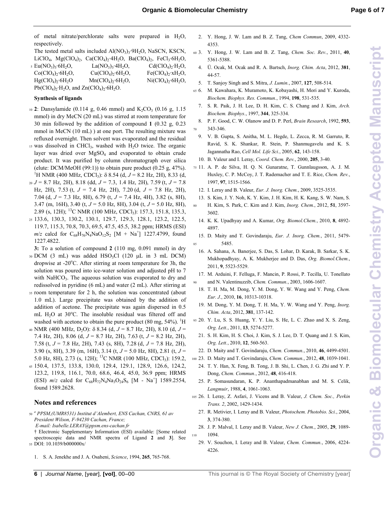**Organic & Biomolecular Chemistry Accepted ManuscriptDrganic & Biomolecular Chemistry Accepted Manuscript** 

of metal nitrate/perchlorate salts were prepared in  $H_2O$ , respectively.

The tested metal salts included  $Al(NO<sub>3</sub>)<sub>3</sub>·9H<sub>2</sub>O$ , NaSCN, KSCN, LiClO<sub>4</sub>, Mg(ClO<sub>4</sub>)<sub>2</sub>, Ca(ClO<sub>4</sub>)<sub>2</sub>·4H<sub>2</sub>O, Ba(ClO<sub>4</sub>)<sub>2</sub>, FeCl<sub>3</sub>·6H<sub>2</sub>O,

| $5 \text{ Eu}(\text{NO}_3)_3$ :6H <sub>2</sub> O, | $La(NO_3)_3.4H_2O$              | $Cd(CIO4)2·H2O2$                |
|---------------------------------------------------|---------------------------------|---------------------------------|
| $Co(CIO4)$ , $6H2O$ ,                             | $Cu(ClO4)2·6H2O$                | $Fe(CIO4)$ , xH <sub>2</sub> O, |
| $Hg(CIO4)$ , 6H <sub>2</sub> O                    | $Mn(CIO4)$ , 6H <sub>2</sub> O, | $Ni(ClO4)2·6H2O$ ,              |
| $Pb(CIO4)2·H2O$ , and $Zn(CIO4)2·6H2O$ .          |                                 |                                 |

#### **Synthesis of ligands**

- 10 2: Dansylamide (0.114 g, 0.46 mmol) and K<sub>2</sub>CO<sub>3</sub> (0.16 g, 1.15 mmol) in dry MeCN (20 mL) was stirred at room temperature for 30 min followed by the addition of compound **1** (0.32 g, 0.23 mmol in MeCN (10 mL) ) at one port. The resulting mixture was refluxed overnight. Then solvent was evaporated and the residual
- 15 was dissolved in CHCl<sub>3</sub>, washed with H<sub>2</sub>O twice. The organic layer was dried over MgSO<sub>4</sub> and evaporated to obtain crude product. It was purified by column chromatograph over silica (elute: DCM/MeOH  $(99:1)$ ) to obtain pure product  $(0.25 \text{ g}, 47\%)$ . <sup>1</sup>H NMR (400 MHz, CDCl<sub>3</sub>): δ 8.54 (d, *J* = 8.2 Hz, 2H), 8.33 (d,
- <sup>20</sup>*J* = 8.7 Hz, 2H), 8.18 (dd, *J* = 7.3, 1.4 Hz, 2H), 7.59 (t, *J* = 7.8 Hz, 2H), 7.53 (t, *J* = 7.4 Hz, 2H), 7.20 (d, *J* = 7.8 Hz, 2H), 7.04 (d, *J* = 7.3 Hz, 8H), 6.79 (t, *J* = 7.4 Hz, 4H), 3.82 (s, 8H), 3.47 (m, 16H), 3.40 (t, *J* = 5.0 Hz, 8H), 3.04 (t, *J* = 5.0 Hz, 8H), 2.89 (s, 12H); <sup>13</sup>C NMR (100 MHz, CDCl<sub>3</sub>): 157.3, 151.8, 135.3,
- <sup>25</sup>133.6, 130.3, 130.2, 130.1, 129.7, 129.3, 128.1, 123.2, 122.5, 119.7, 115.3, 70.8, 70.3, 69.5, 47.5, 45.5, 38.2 ppm; HRMS (ESI)  $m/z$  calcd for  $C_{68}H_{76}N_4NaO_{12}S_2$  [M + Na<sup>+</sup>] 1227.4799, found 1227.4822.

**3:** To a solution of compound **2** (110 mg, 0.091 mmol) in dry

- $30$  DCM (3 mL) was added HSO<sub>3</sub>Cl (120  $\mu$ L in 3 mL DCM) dropwise at -20°C. After stirring at room temperature for 3h, the solution was poured into ice-water solution and adjusted pH to 7 with NaHCO<sub>3</sub>. The aqueous solution was evaporated to dry and redissolved in pyridine (6 mL) and water (2 mL). After stirring at
- <sup>35</sup>room temperature for 2 h, the solution was concentrated (about 1.0 mL). Large precipitate was obtained by the addition of addition of acetone. The precipitate was again dispersed in 0.5 mL  $H_2O$  at 30°C. The insoluble residual was filtered off and washed with acetone to obtain the pure product  $(80 \text{ mg}, 54\%)$ . <sup>1</sup>H
- <sup>40</sup>NMR (400 MHz, D2O): δ 8.34 (d, *J* = 8.7 Hz, 2H), 8.10 (d, *J* = 7.4 Hz, 2H), 8.06 (d, *J* = 8.7 Hz, 2H), 7.63 (t, *J* = 8.2 Hz, 2H), 7.58 (t, *J* = 7.8 Hz, 2H), 7.43 (s, 8H), 7.28 (d, *J* = 7.8 Hz, 2H), 3.90 (s, 8H), 3.39 (m, 16H), 3.14 (t, *J* = 5.0 Hz, 8H), 2.81 (t, *J* = 5.0 Hz, 8H), 2.73 (s, 12H); <sup>13</sup>C NMR (100 MHz, CDCl<sub>3</sub>): 159.2,
- <sup>45</sup>150.4, 137.5, 133.8, 130.0, 129.4, 129.1, 128.9, 126.6, 124.2, 123.2, 119.8, 116.1, 70.0, 68.6, 46.4, 45.0, 36.9 ppm; HRMS (ESI)  $m/z$  calcd for  $C_{68}H_{72}N_4Na_3O_{24}S_6$  [M - Na<sup>+</sup>] 1589.2554, found 1589.2628.

#### **Notes and references**

- *a* <sup>50</sup>*PPSM,(UMR8531) Institut d'Alembert, ENS Cachan, CNRS, 61 av President Wilson, F-94230 Cachan, France;* 
	- *E-mail: Isabelle.LERAY@ppsm.ens-cachan.fr*
- † Electronic Supplementary Information (ESI) available: [Some related spectroscopic data and NMR spectra of Ligand **2** and **3**]. See <sup>55</sup>DOI: 10.1039/b000000x/
	- 1. S. A. Jenekhe and J. A. Osaheni, *Science*, 1994, **265**, 765-768.
- 2. Y. Hong, J. W. Lam and B. Z. Tang, *Chem Commun*, 2009, 4332- 4353.
- <sup>60</sup>3. Y. Hong, J. W. Lam and B. Z. Tang, *Chem. Soc. Rev.*, 2011, **40**, 5361-5388.
	- 4. Ü. Ocak, M. Ocak and R. A. Bartsch, *Inorg. Chim. Acta*, 2012, **381**, 44-57.
- 5. T. Sanjoy Singh and S. Mitra, *J. Lumin.*, 2007, **127**, 508-514.
- <sup>65</sup>6. M. Kawahara, K. Muramoto, K. Kobayashi, H. Mori and Y. Kuroda, *Biochem. Biophys. Res. Commun.*, 1994, **198**, 531-535.
	- 7. S. R. Paik, J. H. Lee, D. H. Kim, C. S. Chang and J. Kim, *Arch. Biochem. Biophys.*, 1997, **344**, 325-334.
- 8. P. F. Good, C. W. Olanow and D. P. Perl, *Brain Research*, 1992, **593**, <sup>70</sup>343-346.
- 9. V. B. Gupta, S. Anitha, M. L. Hegde, L. Zecca, R. M. Garruto, R. Ravid, S. K. Shankar, R. Stein, P. Shanmugavelu and K. S. Jagannatha Rao, *Cell Mol. Life Sci.*, 2005, **62**, 143-158.
- 10. B. Valeur and I. Leray, *Coord. Chem. Rev.*, 2000, **205**, 3-40.
- <sup>75</sup>11. A. P. de Silva, H. Q. N. Gunaratne, T. Gunnlaugsson, A. J. M. Huxley, C. P. McCoy, J. T. Rademacher and T. E. Rice, *Chem. Rev.*, 1997, **97**, 1515-1566.
- 12. I. Leray and B. Valeur, *Eur. J. Inorg. Chem.*, 2009, 3525-3535.
- 13. S. Kim, J. Y. Noh, K. Y. Kim, J. H. Kim, H. K. Kang, S. W. Nam, S. <sup>80</sup>H. Kim, S. Park, C. Kim and J. Kim, *Inorg. Chem.*, 2012, **51**, 3597- 3602.
	- 14. K. K. Upadhyay and A. Kumar, *Org. Biomol.Chem.*, 2010, **8**, 4892- 4897.
- 15. D. Maity and T. Govindaraju, *Eur. J. Inorg. Chem.*, 2011, 5479- 85 5485.
- 16. A. Sahana, A. Banerjee, S. Das, S. Lohar, D. Karak, B. Sarkar, S. K. Mukhopadhyay, A. K. Mukherjee and D. Das, *Org. Biomol.Chem.*, 2011, **9**, 5523-5529.
- 17. M. Arduini, F. Felluga, F. Mancin, P. Rossi, P. Tecilla, U. Tonellato and N. Valentinuzzib, *Chem. Commun.*, 2003, 1606-1607.
- 18. T. H. Ma, M. Dong, Y. M. Dong, Y. W. Wang and Y. Peng, *Chem. Eur. J.*, 2010, **16**, 10313-10318.
- 19. M. Dong, Y. M. Dong, T. H. Ma, Y. W. Wang and Y. Peng, *Inorg. Chim. Acta*, 2012, **381**, 137-142.
- <sup>95</sup>20. Y. Lu, S. S. Huang, Y. Y. Liu, S. He, L. C. Zhao and X. S. Zeng, *Org. Lett.*, 2011, **13**, 5274-5277.
	- 21. S. H. Kim, H. S. Choi, J. Kim, S. J. Lee, D. T. Quang and J. S. Kim, *Org. Lett.*, 2010, **12**, 560-563.
- 22. D. Maity and T. Govindaraju, *Chem. Commun.*, 2010, **46**, 4499-4501.
- <sup>100</sup>23. D. Maity and T. Govindaraju, *Chem. Commun.*, 2012, **48**, 1039-1041.
	- 24. T. Y. Han, X. Feng, B. Tong, J. B. Shi, L. Chen, J. G. Zhi and Y. P. Dong, *Chem. Commun.*, 2012, **48**, 416-418.
	- 25. P. Somasundaran, K. P. Ananthapadmanabhan and M. S. Celik, *Langmuir*, 1988, **4**, 1061-1063.
- <sup>105</sup>26. I. Leray, Z. Asfari, J. Vicens and B. Valeur, *J. Chem. Soc., Perkin Trans. 2*, 2002, 1429-1434.
	- 27. R. Metivier, I. Leray and B. Valeur, *Photochem. Photobio. Sci.*, 2004, **3**, 374-380.
- 28. J. P. Malval, I. Leray and B. Valeur, *New J. Chem.*, 2005, **29**, 1089- 110 1094.
	- 29. V. Souchon, I. Leray and B. Valeur, *Chem. Commun.*, 2006, 4224- 4226.